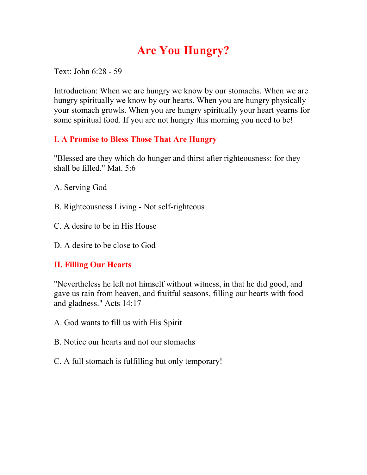## **Are You Hungry?**

Text: John 6:28 - 59

Introduction: When we are hungry we know by our stomachs. When we are hungry spiritually we know by our hearts. When you are hungry physically your stomach growls. When you are hungry spiritually your heart yearns for some spiritual food. If you are not hungry this morning you need to be!

## **I. A Promise to Bless Those That Are Hungry**

"Blessed are they which do hunger and thirst after righteousness: for they shall be filled." Mat. 5:6

- A. Serving God
- B. Righteousness Living Not self-righteous
- C. A desire to be in His House
- D. A desire to be close to God

## **II. Filling Our Hearts**

"Nevertheless he left not himself without witness, in that he did good, and gave us rain from heaven, and fruitful seasons, filling our hearts with food and gladness." Acts 14:17

- A. God wants to fill us with His Spirit
- B. Notice our hearts and not our stomachs
- C. A full stomach is fulfilling but only temporary!